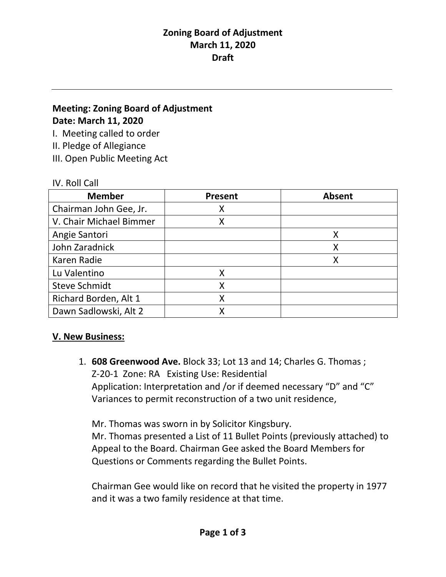# **Meeting: Zoning Board of Adjustment Date: March 11, 2020**

I. Meeting called to order

II. Pledge of Allegiance

III. Open Public Meeting Act

#### IV. Roll Call

| <b>Member</b>           | <b>Present</b> | <b>Absent</b> |
|-------------------------|----------------|---------------|
| Chairman John Gee, Jr.  |                |               |
| V. Chair Michael Bimmer | x              |               |
| Angie Santori           |                |               |
| John Zaradnick          |                |               |
| Karen Radie             |                | Χ             |
| Lu Valentino            |                |               |
| <b>Steve Schmidt</b>    |                |               |
| Richard Borden, Alt 1   |                |               |
| Dawn Sadlowski, Alt 2   |                |               |

## **V. New Business:**

1. **608 Greenwood Ave.** Block 33; Lot 13 and 14; Charles G. Thomas ; Z-20-1 Zone: RA Existing Use: Residential Application: Interpretation and /or if deemed necessary "D" and "C" Variances to permit reconstruction of a two unit residence,

Mr. Thomas was sworn in by Solicitor Kingsbury. Mr. Thomas presented a List of 11 Bullet Points (previously attached) to Appeal to the Board. Chairman Gee asked the Board Members for Questions or Comments regarding the Bullet Points.

Chairman Gee would like on record that he visited the property in 1977 and it was a two family residence at that time.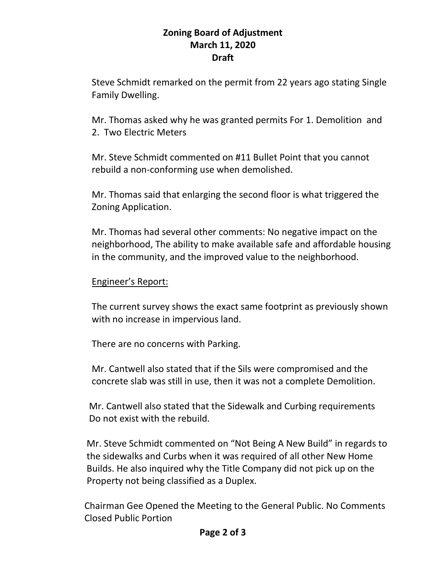Steve Schmidt remarked on the permit from 22 years ago stating Single Family Dwelling.

Mr. Thomas asked why he was granted permits For 1. Demolition and 2. Two Electric Meters

Mr. Steve Schmidt commented on #11 Bullet Point that you cannot rebuild a non-conforming use when demolished.

Mr. Thomas said that enlarging the second floor is what triggered the Zoning Application.

Mr. Thomas had several other comments: No negative impact on the neighborhood, The ability to make available safe and affordable housing in the community, and the improved value to the neighborhood.

## Engineer's Report:

The current survey shows the exact same footprint as previously shown with no increase in impervious land.

There are no concerns with Parking.

Mr. Cantwell also stated that if the Sils were compromised and the concrete slab was still in use, then it was not a complete Demolition.

 Mr. Cantwell also stated that the Sidewalk and Curbing requirements Do not exist with the rebuild.

 Mr. Steve Schmidt commented on "Not Being A New Build" in regards to the sidewalks and Curbs when it was required of all other New Home Builds. He also inquired why the Title Company did not pick up on the Property not being classified as a Duplex.

 Chairman Gee Opened the Meeting to the General Public. No Comments Closed Public Portion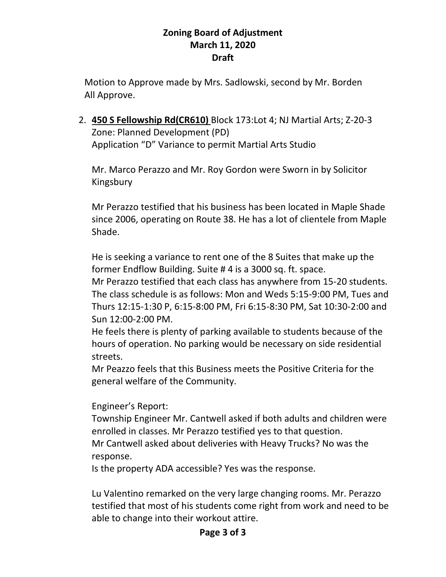Motion to Approve made by Mrs. Sadlowski, second by Mr. Borden All Approve.

2. **450 S Fellowship Rd(CR610)** Block 173:Lot 4; NJ Martial Arts; Z-20-3 Zone: Planned Development (PD) Application "D" Variance to permit Martial Arts Studio

Mr. Marco Perazzo and Mr. Roy Gordon were Sworn in by Solicitor Kingsbury

Mr Perazzo testified that his business has been located in Maple Shade since 2006, operating on Route 38. He has a lot of clientele from Maple Shade.

He is seeking a variance to rent one of the 8 Suites that make up the former Endflow Building. Suite # 4 is a 3000 sq. ft. space.

Mr Perazzo testified that each class has anywhere from 15-20 students. The class schedule is as follows: Mon and Weds 5:15-9:00 PM, Tues and Thurs 12:15-1:30 P, 6:15-8:00 PM, Fri 6:15-8:30 PM, Sat 10:30-2:00 and Sun 12:00-2:00 PM.

He feels there is plenty of parking available to students because of the hours of operation. No parking would be necessary on side residential streets.

Mr Peazzo feels that this Business meets the Positive Criteria for the general welfare of the Community.

Engineer's Report:

Township Engineer Mr. Cantwell asked if both adults and children were enrolled in classes. Mr Perazzo testified yes to that question. Mr Cantwell asked about deliveries with Heavy Trucks? No was the response.

Is the property ADA accessible? Yes was the response.

Lu Valentino remarked on the very large changing rooms. Mr. Perazzo testified that most of his students come right from work and need to be able to change into their workout attire.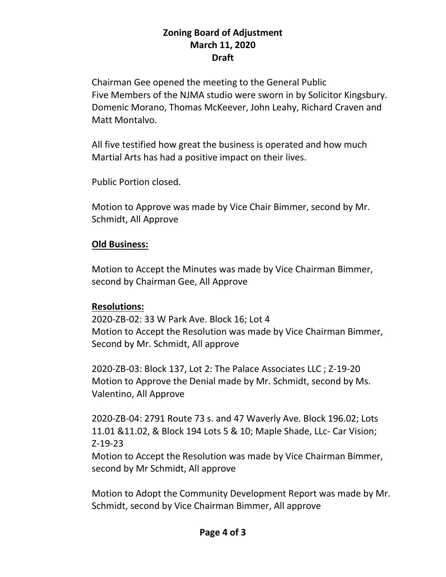Chairman Gee opened the meeting to the General Public Five Members of the NJMA studio were sworn in by Solicitor Kingsbury. Domenic Morano, Thomas McKeever, John Leahy, Richard Craven and Matt Montalvo.

All five testified how great the business is operated and how much Martial Arts has had a positive impact on their lives.

Public Portion closed.

Motion to Approve was made by Vice Chair Bimmer, second by Mr. Schmidt, All Approve

## **Old Business:**

Motion to Accept the Minutes was made by Vice Chairman Bimmer, second by Chairman Gee, All Approve

#### **Resolutions:**

2020-ZB-02: 33 W Park Ave. Block 16; Lot 4 Motion to Accept the Resolution was made by Vice Chairman Bimmer, Second by Mr. Schmidt, All approve

2020-ZB-03: Block 137, Lot 2: The Palace Associates LLC ; Z-19-20 Motion to Approve the Denial made by Mr. Schmidt, second by Ms. Valentino, All Approve

2020-ZB-04: 2791 Route 73 s. and 47 Waverly Ave. Block 196.02; Lots 11.01 &11.02, & Block 194 Lots 5 & 10; Maple Shade, LLc- Car Vision; Z-19-23

Motion to Accept the Resolution was made by Vice Chairman Bimmer, second by Mr Schmidt, All approve

Motion to Adopt the Community Development Report was made by Mr. Schmidt, second by Vice Chairman Bimmer, All approve